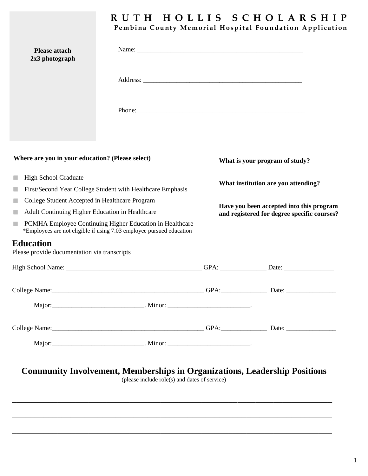## Pembina County Memorial Hospital Foundation Application **R U T H H O L L I S S C H O L A R S H I P**

| <b>Please attach</b><br>2x3 photograph                                                                                                |                     |                                                                                         |                                |
|---------------------------------------------------------------------------------------------------------------------------------------|---------------------|-----------------------------------------------------------------------------------------|--------------------------------|
|                                                                                                                                       |                     |                                                                                         |                                |
|                                                                                                                                       |                     |                                                                                         |                                |
| Where are you in your education? (Please select)                                                                                      |                     |                                                                                         | What is your program of study? |
| <b>High School Graduate</b><br>a.<br>First/Second Year College Student with Healthcare Emphasis<br>٠                                  |                     | What institution are you attending?                                                     |                                |
| College Student Accepted in Healthcare Program<br>×<br>Adult Continuing Higher Education in Healthcare<br>a.                          |                     | Have you been accepted into this program<br>and registered for degree specific courses? |                                |
| PCMHA Employee Continuing Higher Education in Healthcare<br>ш<br>*Employees are not eligible if using 7.03 employee pursued education |                     |                                                                                         |                                |
| Education<br>Please provide documentation via transcripts                                                                             |                     |                                                                                         |                                |
|                                                                                                                                       |                     |                                                                                         |                                |
|                                                                                                                                       |                     |                                                                                         |                                |
| Major:                                                                                                                                | _________. Minor: _ |                                                                                         |                                |
|                                                                                                                                       |                     |                                                                                         |                                |
|                                                                                                                                       |                     |                                                                                         |                                |

## **Community Involvement, Memberships in Organizations, Leadership Positions**

(please include role(s) and dates of service)

**\_\_\_\_\_\_\_\_\_\_\_\_\_\_\_\_\_\_\_\_\_\_\_\_\_\_\_\_\_\_\_\_\_\_\_\_\_\_\_\_\_\_\_\_\_\_\_\_\_\_\_\_\_\_\_\_\_\_\_\_\_\_\_\_\_\_\_\_\_\_\_**

**\_\_\_\_\_\_\_\_\_\_\_\_\_\_\_\_\_\_\_\_\_\_\_\_\_\_\_\_\_\_\_\_\_\_\_\_\_\_\_\_\_\_\_\_\_\_\_\_\_\_\_\_\_\_\_\_\_\_\_\_\_\_\_\_\_\_\_\_\_\_\_**

**\_\_\_\_\_\_\_\_\_\_\_\_\_\_\_\_\_\_\_\_\_\_\_\_\_\_\_\_\_\_\_\_\_\_\_\_\_\_\_\_\_\_\_\_\_\_\_\_\_\_\_\_\_\_\_\_\_\_\_\_\_\_\_\_\_\_\_\_\_\_\_**